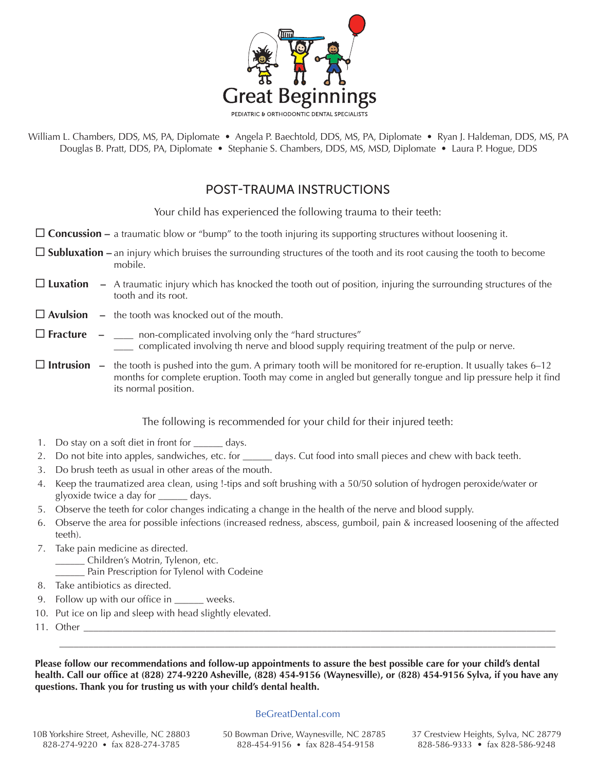

William L. Chambers, DDS, MS, PA, Diplomate • Angela P. Baechtold, DDS, MS, PA, Diplomate • Ryan J. Haldeman, DDS, MS, PA Douglas B. Pratt, DDS, PA, Diplomate • Stephanie S. Chambers, DDS, MS, MSD, Diplomate • Laura P. Hogue, DDS

# POST-TRAUMA INSTRUCTIONS

Your child has experienced the following trauma to their teeth:

- **Concussion –** a traumatic blow or "bump" to the tooth injuring its supporting structures without loosening it.
- **Subluxation –** an injury which bruises the surrounding structures of the tooth and its root causing the tooth to become mobile.
- **Luxation –** A traumatic injury which has knocked the tooth out of position, injuring the surrounding structures of the tooth and its root.
- **Avulsion –** the tooth was knocked out of the mouth.

### $\Box$  **Fracture**  $\Box$  **\_\_\_\_** non-complicated involving only the "hard structures" \_\_\_\_ complicated involving th nerve and blood supply requiring treatment of the pulp or nerve.

**Intrusion** – the tooth is pushed into the gum. A primary tooth will be monitored for re-eruption. It usually takes 6–12 months for complete eruption. Tooth may come in angled but generally tongue and lip pressure help it find its normal position.

### The following is recommended for your child for their injured teeth:

- 1. Do stay on a soft diet in front for \_\_\_\_\_\_ days.
- 2. Do not bite into apples, sandwiches, etc. for days. Cut food into small pieces and chew with back teeth.
- 3. Do brush teeth as usual in other areas of the mouth.
- 4. Keep the traumatized area clean, using !-tips and soft brushing with a 50/50 solution of hydrogen peroxide/water or glyoxide twice a day for \_\_\_\_\_\_ days.
- 5. Observe the teeth for color changes indicating a change in the health of the nerve and blood supply.
- 6. Observe the area for possible infections (increased redness, abscess, gumboil, pain & increased loosening of the affected teeth).
- 7. Take pain medicine as directed.
	- \_\_\_\_\_\_ Children's Motrin, Tylenon, etc.
		- \_\_\_\_\_\_ Pain Prescription for Tylenol with Codeine
- 8. Take antibiotics as directed.
- 9. Follow up with our office in \_\_\_\_\_\_ weeks.
- 10. Put ice on lip and sleep with head slightly elevated.
- 11. Other \_\_\_\_\_\_\_\_\_\_\_\_\_\_\_\_\_\_\_\_\_\_\_\_\_\_\_\_\_\_\_\_\_\_\_\_\_\_\_\_\_\_\_\_\_\_\_\_\_\_\_\_\_\_\_\_\_\_\_\_\_\_\_\_\_\_\_\_\_\_\_\_\_\_\_\_\_\_\_\_\_\_\_\_\_\_\_\_\_\_\_\_\_\_\_\_\_

**Please follow our recommendations and follow-up appointments to assure the best possible care for your child's dental health. Call our office at (828) 274-9220 Asheville, (828) 454-9156 (Waynesville), or (828) 454-9156 Sylva, if you have any questions. Thank you for trusting us with your child's dental health.**

\_\_\_\_\_\_\_\_\_\_\_\_\_\_\_\_\_\_\_\_\_\_\_\_\_\_\_\_\_\_\_\_\_\_\_\_\_\_\_\_\_\_\_\_\_\_\_\_\_\_\_\_\_\_\_\_\_\_\_\_\_\_\_\_\_\_\_\_\_\_\_\_\_\_\_\_\_\_\_\_\_\_\_\_\_\_\_\_\_\_\_\_\_\_\_\_\_\_\_\_\_\_

#### BeGreatDental.com